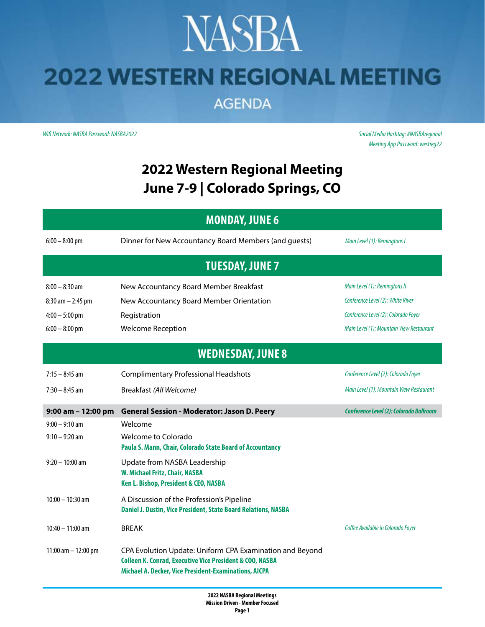### **NASBA 2022 WESTERN REGIONAL MEETING**

**AGENDA** 

*Wifi Network: NASBA Password: NASBA2022 Social Media Hashtag: #NASBAregional*

*Meeting App Password: westreg22*

#### **2022 Western Regional Meeting June 7-9 | Colorado Springs, CO**

| <b>MONDAY, JUNE 6</b>    |                                                                                                                                                                                          |                                          |  |  |  |
|--------------------------|------------------------------------------------------------------------------------------------------------------------------------------------------------------------------------------|------------------------------------------|--|--|--|
| $6:00 - 8:00$ pm         | Dinner for New Accountancy Board Members (and guests)                                                                                                                                    | Main Level (1): Remingtons I             |  |  |  |
| <b>TUESDAY, JUNE 7</b>   |                                                                                                                                                                                          |                                          |  |  |  |
| $8:00 - 8:30$ am         | New Accountancy Board Member Breakfast                                                                                                                                                   | Main Level (1): Remingtons II            |  |  |  |
| $8:30$ am $- 2:45$ pm    | New Accountancy Board Member Orientation                                                                                                                                                 | Conference Level (2): White River        |  |  |  |
| $4:00 - 5:00$ pm         | Registration                                                                                                                                                                             | Conference Level (2): Colorado Foyer     |  |  |  |
| $6:00 - 8:00$ pm         | <b>Welcome Reception</b>                                                                                                                                                                 | Main Level (1): Mountain View Restaurant |  |  |  |
| <b>WEDNESDAY, JUNE 8</b> |                                                                                                                                                                                          |                                          |  |  |  |
| $7:15 - 8:45$ am         | <b>Complimentary Professional Headshots</b>                                                                                                                                              | Conference Level (2): Colorado Foyer     |  |  |  |
| $7:30 - 8:45$ am         | Breakfast (All Welcome)                                                                                                                                                                  | Main Level (1): Mountain View Restaurant |  |  |  |
| 9:00 am - 12:00 pm       | <b>General Session - Moderator: Jason D. Peery</b>                                                                                                                                       | Conference Level (2): Colorado Ballroom  |  |  |  |
| $9:00 - 9:10$ am         | Welcome                                                                                                                                                                                  |                                          |  |  |  |
| $9:10 - 9:20$ am         | Welcome to Colorado<br>Paula S. Mann, Chair, Colorado State Board of Accountancy                                                                                                         |                                          |  |  |  |
| $9:20 - 10:00$ am        | Update from NASBA Leadership<br>W. Michael Fritz, Chair, NASBA<br>Ken L. Bishop, President & CEO, NASBA                                                                                  |                                          |  |  |  |
| $10:00 - 10:30$ am       | A Discussion of the Profession's Pipeline<br>Daniel J. Dustin, Vice President, State Board Relations, NASBA                                                                              |                                          |  |  |  |
| $10:40 - 11:00$ am       | <b>BREAK</b>                                                                                                                                                                             | Coffee Available in Colorado Foyer       |  |  |  |
| 11:00 am $-$ 12:00 pm    | CPA Evolution Update: Uniform CPA Examination and Beyond<br><b>Colleen K. Conrad, Executive Vice President &amp; COO, NASBA</b><br>Michael A. Decker, Vice President-Examinations, AICPA |                                          |  |  |  |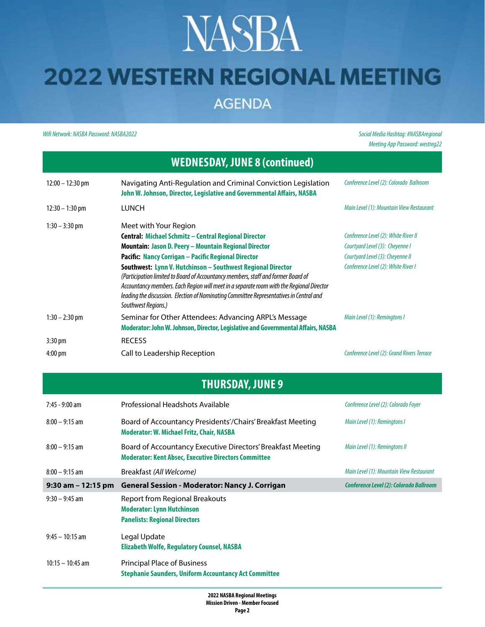# **NASBA**

### **2022 WESTERN REGIONAL MEETING**

**AGENDA** 

*Wifi Network: NASBA Password: NASBA2022 Social Media Hashtag: #NASBAregional*

*Meeting App Password: westreg22*

| <b>WEDNESDAY, JUNE 8 (continued)</b> |                                                                                                                                                                                                                                                                                                                                                                                                                                                                                                                                                                        |                                                                                                                                                    |  |  |
|--------------------------------------|------------------------------------------------------------------------------------------------------------------------------------------------------------------------------------------------------------------------------------------------------------------------------------------------------------------------------------------------------------------------------------------------------------------------------------------------------------------------------------------------------------------------------------------------------------------------|----------------------------------------------------------------------------------------------------------------------------------------------------|--|--|
| $12:00 - 12:30$ pm                   | Navigating Anti-Regulation and Criminal Conviction Legislation<br>John W. Johnson, Director, Legislative and Governmental Affairs, NASBA                                                                                                                                                                                                                                                                                                                                                                                                                               | Conference Level (2): Colorado Ballroom                                                                                                            |  |  |
| $12:30 - 1:30$ pm                    | <b>LUNCH</b>                                                                                                                                                                                                                                                                                                                                                                                                                                                                                                                                                           | Main Level (1): Mountain View Restaurant                                                                                                           |  |  |
| $1:30 - 3:30$ pm                     | Meet with Your Region<br>Central: Michael Schmitz - Central Regional Director<br><b>Mountain: Jason D. Peery – Mountain Regional Director</b><br>Pacific: Nancy Corrigan - Pacific Regional Director<br>Southwest: Lynn V. Hutchinson - Southwest Regional Director<br>(Participation limited to Board of Accountancy members, staff and former Board of<br>Accountancy members. Each Region will meet in a separate room with the Regional Director<br>leading the discussion. Election of Nominating Committee Representatives in Central and<br>Southwest Regions.) | Conference Level (2): White River II<br>Courtyard Level (3): Cheyenne I<br>Courtyard Level (3): Cheyenne II<br>Conference Level (2): White River I |  |  |
| $1:30 - 2:30$ pm                     | Seminar for Other Attendees: Advancing ARPL's Message<br>Moderator: John W. Johnson, Director, Legislative and Governmental Affairs, NASBA                                                                                                                                                                                                                                                                                                                                                                                                                             | Main Level (1): Remingtons I                                                                                                                       |  |  |
| $3:30 \text{ pm}$                    | <b>RECESS</b>                                                                                                                                                                                                                                                                                                                                                                                                                                                                                                                                                          |                                                                                                                                                    |  |  |
| 4:00 pm                              | Call to Leadership Reception                                                                                                                                                                                                                                                                                                                                                                                                                                                                                                                                           | Conference Level (2): Grand Rivers Terrace                                                                                                         |  |  |

|  | <b>THURSDAY, JUNE 9</b> |
|--|-------------------------|
|  |                         |

| $7:45 - 9:00$ am      | Professional Headshots Available                                                                                           | Conference Level (2): Colorado Foyer     |
|-----------------------|----------------------------------------------------------------------------------------------------------------------------|------------------------------------------|
| $8:00 - 9:15$ am      | Board of Accountancy Presidents'/Chairs' Breakfast Meeting<br>Moderator: W. Michael Fritz, Chair, NASBA                    | Main Level (1): Remingtons I             |
| $8:00 - 9:15$ am      | Board of Accountancy Executive Directors' Breakfast Meeting<br><b>Moderator: Kent Absec, Executive Directors Committee</b> | Main Level (1): Remingtons II            |
| $8:00 - 9:15$ am      | Breakfast (All Welcome)                                                                                                    | Main Level (1): Mountain View Restaurant |
| $9:30$ am $-12:15$ pm | <b>General Session - Moderator: Nancy J. Corrigan</b>                                                                      | Conference Level (2): Colorado Ballroom  |
| $9:30 - 9:45$ am      | <b>Report from Regional Breakouts</b><br><b>Moderator: Lynn Hutchinson</b>                                                 |                                          |
|                       | <b>Panelists: Regional Directors</b>                                                                                       |                                          |
| $9:45 - 10:15$ am     | Legal Update<br><b>Elizabeth Wolfe, Regulatory Counsel, NASBA</b>                                                          |                                          |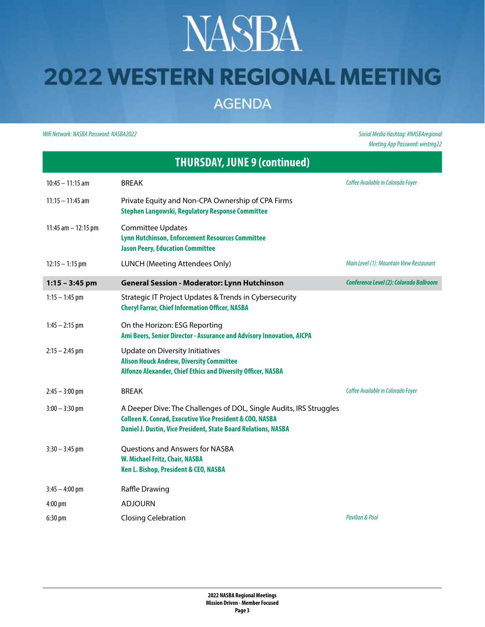## **NASBA**

#### **2022 WESTERN REGIONAL MEETING**

**AGENDA** 

*Wifi Network: NASBA Password: NASBA2022 Social Media Hashtag: #NASBAregional*

*Meeting App Password: westreg22*

| <b>THURSDAY, JUNE 9 (continued)</b> |                                                                                                                                                                                                             |                                          |  |  |
|-------------------------------------|-------------------------------------------------------------------------------------------------------------------------------------------------------------------------------------------------------------|------------------------------------------|--|--|
| $10:45 - 11:15$ am                  | <b>BREAK</b>                                                                                                                                                                                                | Coffee Available in Colorado Foyer       |  |  |
| $11:15 - 11:45$ am                  | Private Equity and Non-CPA Ownership of CPA Firms<br><b>Stephen Langowski, Regulatory Response Committee</b>                                                                                                |                                          |  |  |
| 11:45 am $-$ 12:15 pm               | <b>Committee Updates</b><br><b>Lynn Hutchinson, Enforcement Resources Committee</b><br><b>Jason Peery, Education Committee</b>                                                                              |                                          |  |  |
| $12:15 - 1:15$ pm                   | LUNCH (Meeting Attendees Only)                                                                                                                                                                              | Main Level (1): Mountain View Restaurant |  |  |
| $1:15 - 3:45$ pm                    | <b>General Session - Moderator: Lynn Hutchinson</b>                                                                                                                                                         | Conference Level (2): Colorado Ballroom  |  |  |
| $1:15 - 1:45$ pm                    | Strategic IT Project Updates & Trends in Cybersecurity<br><b>Cheryl Farrar, Chief Information Officer, NASBA</b>                                                                                            |                                          |  |  |
| $1:45 - 2:15$ pm                    | On the Horizon: ESG Reporting<br>Ami Beers, Senior Director - Assurance and Advisory Innovation, AICPA                                                                                                      |                                          |  |  |
| $2:15 - 2:45$ pm                    | Update on Diversity Initiatives<br><b>Alison Houck Andrew, Diversity Committee</b><br>Alfonzo Alexander, Chief Ethics and Diversity Officer, NASBA                                                          |                                          |  |  |
| $2:45 - 3:00$ pm                    | <b>BREAK</b>                                                                                                                                                                                                | Coffee Available in Colorado Foyer       |  |  |
| $3:00 - 3:30$ pm                    | A Deeper Dive: The Challenges of DOL, Single Audits, IRS Struggles<br><b>Colleen K. Conrad, Executive Vice President &amp; COO, NASBA</b><br>Daniel J. Dustin, Vice President, State Board Relations, NASBA |                                          |  |  |
| $3:30 - 3:45$ pm                    | Questions and Answers for NASBA<br>W. Michael Fritz, Chair, NASBA<br>Ken L. Bishop, President & CEO, NASBA                                                                                                  |                                          |  |  |
| $3:45 - 4:00$ pm                    | Raffle Drawing                                                                                                                                                                                              |                                          |  |  |
| 4:00 pm                             | ADJOURN                                                                                                                                                                                                     |                                          |  |  |
| $6:30$ pm                           | <b>Closing Celebration</b>                                                                                                                                                                                  | <b>Pavilion &amp; Pool</b>               |  |  |